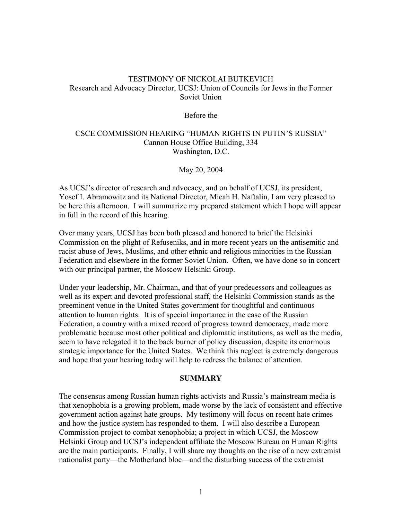# TESTIMONY OF NICKOLAI BUTKEVICH Research and Advocacy Director, UCSJ: Union of Councils for Jews in the Former Soviet Union

#### Before the

## CSCE COMMISSION HEARING "HUMAN RIGHTS IN PUTIN'S RUSSIA" Cannon House Office Building, 334 Washington, D.C.

May 20, 2004

As UCSJ's director of research and advocacy, and on behalf of UCSJ, its president, Yosef I. Abramowitz and its National Director, Micah H. Naftalin, I am very pleased to be here this afternoon. I will summarize my prepared statement which I hope will appear in full in the record of this hearing.

Over many years, UCSJ has been both pleased and honored to brief the Helsinki Commission on the plight of Refuseniks, and in more recent years on the antisemitic and racist abuse of Jews, Muslims, and other ethnic and religious minorities in the Russian Federation and elsewhere in the former Soviet Union. Often, we have done so in concert with our principal partner, the Moscow Helsinki Group.

Under your leadership, Mr. Chairman, and that of your predecessors and colleagues as well as its expert and devoted professional staff, the Helsinki Commission stands as the preeminent venue in the United States government for thoughtful and continuous attention to human rights. It is of special importance in the case of the Russian Federation, a country with a mixed record of progress toward democracy, made more problematic because most other political and diplomatic institutions, as well as the media, seem to have relegated it to the back burner of policy discussion, despite its enormous strategic importance for the United States. We think this neglect is extremely dangerous and hope that your hearing today will help to redress the balance of attention.

#### **SUMMARY**

The consensus among Russian human rights activists and Russia's mainstream media is that xenophobia is a growing problem, made worse by the lack of consistent and effective government action against hate groups. My testimony will focus on recent hate crimes and how the justice system has responded to them. I will also describe a European Commission project to combat xenophobia; a project in which UCSJ, the Moscow Helsinki Group and UCSJ's independent affiliate the Moscow Bureau on Human Rights are the main participants. Finally, I will share my thoughts on the rise of a new extremist nationalist party—the Motherland bloc—and the disturbing success of the extremist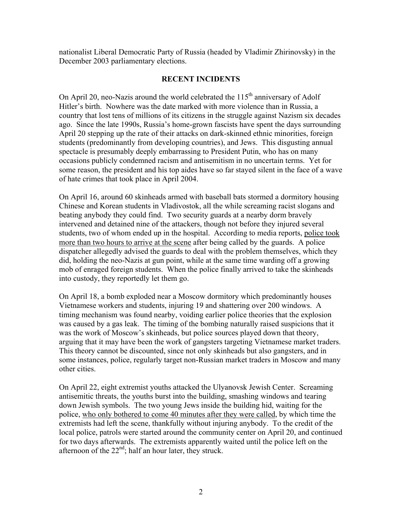nationalist Liberal Democratic Party of Russia (headed by Vladimir Zhirinovsky) in the December 2003 parliamentary elections.

## **RECENT INCIDENTS**

On April 20, neo-Nazis around the world celebrated the  $115<sup>th</sup>$  anniversary of Adolf Hitler's birth. Nowhere was the date marked with more violence than in Russia, a country that lost tens of millions of its citizens in the struggle against Nazism six decades ago. Since the late 1990s, Russia's home-grown fascists have spent the days surrounding April 20 stepping up the rate of their attacks on dark-skinned ethnic minorities, foreign students (predominantly from developing countries), and Jews. This disgusting annual spectacle is presumably deeply embarrassing to President Putin, who has on many occasions publicly condemned racism and antisemitism in no uncertain terms. Yet for some reason, the president and his top aides have so far stayed silent in the face of a wave of hate crimes that took place in April 2004.

On April 16, around 60 skinheads armed with baseball bats stormed a dormitory housing Chinese and Korean students in Vladivostok, all the while screaming racist slogans and beating anybody they could find. Two security guards at a nearby dorm bravely intervened and detained nine of the attackers, though not before they injured several students, two of whom ended up in the hospital. According to media reports, police took more than two hours to arrive at the scene after being called by the guards. A police dispatcher allegedly advised the guards to deal with the problem themselves, which they did, holding the neo-Nazis at gun point, while at the same time warding off a growing mob of enraged foreign students. When the police finally arrived to take the skinheads into custody, they reportedly let them go.

On April 18, a bomb exploded near a Moscow dormitory which predominantly houses Vietnamese workers and students, injuring 19 and shattering over 200 windows. A timing mechanism was found nearby, voiding earlier police theories that the explosion was caused by a gas leak. The timing of the bombing naturally raised suspicions that it was the work of Moscow's skinheads, but police sources played down that theory, arguing that it may have been the work of gangsters targeting Vietnamese market traders. This theory cannot be discounted, since not only skinheads but also gangsters, and in some instances, police, regularly target non-Russian market traders in Moscow and many other cities.

On April 22, eight extremist youths attacked the Ulyanovsk Jewish Center. Screaming antisemitic threats, the youths burst into the building, smashing windows and tearing down Jewish symbols. The two young Jews inside the building hid, waiting for the police, who only bothered to come 40 minutes after they were called, by which time the extremists had left the scene, thankfully without injuring anybody. To the credit of the local police, patrols were started around the community center on April 20, and continued for two days afterwards. The extremists apparently waited until the police left on the afternoon of the  $22<sup>nd</sup>$ ; half an hour later, they struck.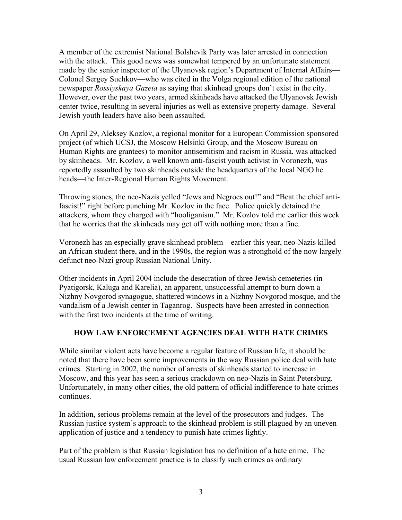A member of the extremist National Bolshevik Party was later arrested in connection with the attack. This good news was somewhat tempered by an unfortunate statement made by the senior inspector of the Ulyanovsk region's Department of Internal Affairs— Colonel Sergey Suchkov—who was cited in the Volga regional edition of the national newspaper *Rossiyskaya Gazeta* as saying that skinhead groups don't exist in the city. However, over the past two years, armed skinheads have attacked the Ulyanovsk Jewish center twice, resulting in several injuries as well as extensive property damage. Several Jewish youth leaders have also been assaulted.

On April 29, Aleksey Kozlov, a regional monitor for a European Commission sponsored project (of which UCSJ, the Moscow Helsinki Group, and the Moscow Bureau on Human Rights are grantees) to monitor antisemitism and racism in Russia, was attacked by skinheads. Mr. Kozlov, a well known anti-fascist youth activist in Voronezh, was reportedly assaulted by two skinheads outside the headquarters of the local NGO he heads—the Inter-Regional Human Rights Movement.

Throwing stones, the neo-Nazis yelled "Jews and Negroes out!" and "Beat the chief antifascist!" right before punching Mr. Kozlov in the face. Police quickly detained the attackers, whom they charged with "hooliganism." Mr. Kozlov told me earlier this week that he worries that the skinheads may get off with nothing more than a fine.

Voronezh has an especially grave skinhead problem—earlier this year, neo-Nazis killed an African student there, and in the 1990s, the region was a stronghold of the now largely defunct neo-Nazi group Russian National Unity.

Other incidents in April 2004 include the desecration of three Jewish cemeteries (in Pyatigorsk, Kaluga and Karelia), an apparent, unsuccessful attempt to burn down a Nizhny Novgorod synagogue, shattered windows in a Nizhny Novgorod mosque, and the vandalism of a Jewish center in Taganrog. Suspects have been arrested in connection with the first two incidents at the time of writing.

# **HOW LAW ENFORCEMENT AGENCIES DEAL WITH HATE CRIMES**

While similar violent acts have become a regular feature of Russian life, it should be noted that there have been some improvements in the way Russian police deal with hate crimes. Starting in 2002, the number of arrests of skinheads started to increase in Moscow, and this year has seen a serious crackdown on neo-Nazis in Saint Petersburg. Unfortunately, in many other cities, the old pattern of official indifference to hate crimes continues.

In addition, serious problems remain at the level of the prosecutors and judges. The Russian justice system's approach to the skinhead problem is still plagued by an uneven application of justice and a tendency to punish hate crimes lightly.

Part of the problem is that Russian legislation has no definition of a hate crime. The usual Russian law enforcement practice is to classify such crimes as ordinary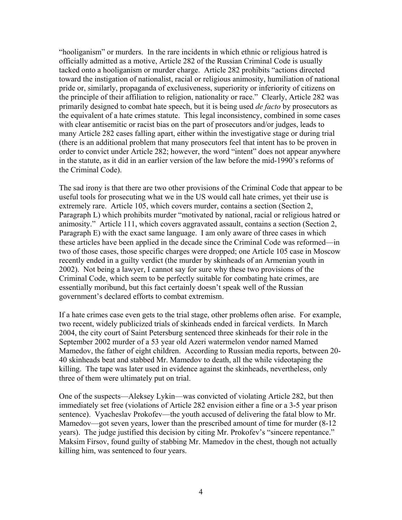"hooliganism" or murders. In the rare incidents in which ethnic or religious hatred is officially admitted as a motive, Article 282 of the Russian Criminal Code is usually tacked onto a hooliganism or murder charge. Article 282 prohibits "actions directed toward the instigation of nationalist, racial or religious animosity, humiliation of national pride or, similarly, propaganda of exclusiveness, superiority or inferiority of citizens on the principle of their affiliation to religion, nationality or race." Clearly, Article 282 was primarily designed to combat hate speech, but it is being used *de facto* by prosecutors as the equivalent of a hate crimes statute. This legal inconsistency, combined in some cases with clear antisemitic or racist bias on the part of prosecutors and/or judges, leads to many Article 282 cases falling apart, either within the investigative stage or during trial (there is an additional problem that many prosecutors feel that intent has to be proven in order to convict under Article 282; however, the word "intent" does not appear anywhere in the statute, as it did in an earlier version of the law before the mid-1990's reforms of the Criminal Code).

The sad irony is that there are two other provisions of the Criminal Code that appear to be useful tools for prosecuting what we in the US would call hate crimes, yet their use is extremely rare. Article 105, which covers murder, contains a section (Section 2, Paragraph L) which prohibits murder "motivated by national, racial or religious hatred or animosity." Article 111, which covers aggravated assault, contains a section (Section 2, Paragraph E) with the exact same language. I am only aware of three cases in which these articles have been applied in the decade since the Criminal Code was reformed—in two of those cases, those specific charges were dropped; one Article 105 case in Moscow recently ended in a guilty verdict (the murder by skinheads of an Armenian youth in 2002). Not being a lawyer, I cannot say for sure why these two provisions of the Criminal Code, which seem to be perfectly suitable for combating hate crimes, are essentially moribund, but this fact certainly doesn't speak well of the Russian government's declared efforts to combat extremism.

If a hate crimes case even gets to the trial stage, other problems often arise. For example, two recent, widely publicized trials of skinheads ended in farcical verdicts. In March 2004, the city court of Saint Petersburg sentenced three skinheads for their role in the September 2002 murder of a 53 year old Azeri watermelon vendor named Mamed Mamedov, the father of eight children. According to Russian media reports, between 20- 40 skinheads beat and stabbed Mr. Mamedov to death, all the while videotaping the killing. The tape was later used in evidence against the skinheads, nevertheless, only three of them were ultimately put on trial.

One of the suspects—Aleksey Lykin—was convicted of violating Article 282, but then immediately set free (violations of Article 282 envision either a fine or a 3-5 year prison sentence). Vyacheslav Prokofev—the youth accused of delivering the fatal blow to Mr. Mamedov—got seven years, lower than the prescribed amount of time for murder (8-12 years). The judge justified this decision by citing Mr. Prokofev's "sincere repentance." Maksim Firsov, found guilty of stabbing Mr. Mamedov in the chest, though not actually killing him, was sentenced to four years.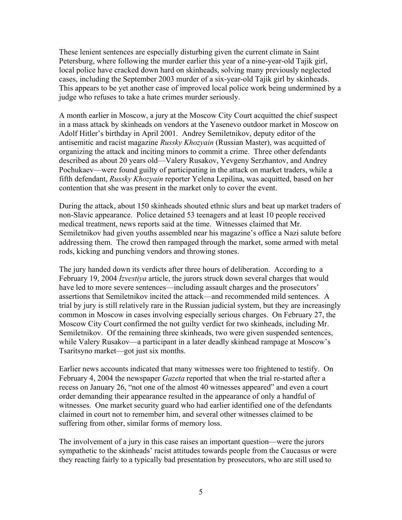These lenient sentences are especially disturbing given the current climate in Saint Petersburg, where following the murder earlier this year of a nine-year-old Tajik girl, local police have cracked down hard on skinheads, solving many previously neglected cases, including the September 2003 murder of a six-year-old Tajik girl by skinheads. This appears to be yet another case of improved local police work being undermined by a judge who refuses to take a hate crimes murder seriously.

A month earlier in Moscow, a jury at the Moscow City Court acquitted the chief suspect in a mass attack by skinheads on vendors at the Yasenevo outdoor market in Moscow on Adolf Hitler's birthday in April 2001. Andrey Semiletnikov, deputy editor of the antisemitic and racist magazine *Russky Khozyain* (Russian Master), was acquitted of organizing the attack and inciting minors to commit a crime. Three other defendants described as about 20 years old—Valery Rusakov, Yevgeny Serzhantov, and Andrey Pochukaev—were found guilty of participating in the attack on market traders, while a fifth defendant, *Russky Khozyain* reporter Yelena Lepilina, was acquitted, based on her contention that she was present in the market only to cover the event.

During the attack, about 150 skinheads shouted ethnic slurs and beat up market traders of non-Slavic appearance. Police detained 53 teenagers and at least 10 people received medical treatment, news reports said at the time. Witnesses claimed that Mr. Semiletnikov had given youths assembled near his magazine's office a Nazi salute before addressing them. The crowd then rampaged through the market, some armed with metal rods, kicking and punching vendors and throwing stones.

The jury handed down its verdicts after three hours of deliberation. According to a February 19, 2004 *Izvestiya* article, the jurors struck down several charges that would have led to more severe sentences—including assault charges and the prosecutors' assertions that Semiletnikov incited the attack—and recommended mild sentences. A trial by jury is still relatively rare in the Russian judicial system, but they are increasingly common in Moscow in cases involving especially serious charges. On February 27, the Moscow City Court confirmed the not guilty verdict for two skinheads, including Mr. Semiletnikov. Of the remaining three skinheads, two were given suspended sentences, while Valery Rusakov—a participant in a later deadly skinhead rampage at Moscow's Tsaritsyno market—got just six months.

Earlier news accounts indicated that many witnesses were too frightened to testify. On February 4, 2004 the newspaper *Gazeta* reported that when the trial re-started after a recess on January 26, "not one of the almost 40 witnesses appeared" and even a court order demanding their appearance resulted in the appearance of only a handful of witnesses. One market security guard who had earlier identified one of the defendants claimed in court not to remember him, and several other witnesses claimed to be suffering from other, similar forms of memory loss.

The involvement of a jury in this case raises an important question—were the jurors sympathetic to the skinheads' racist attitudes towards people from the Caucasus or were they reacting fairly to a typically bad presentation by prosecutors, who are still used to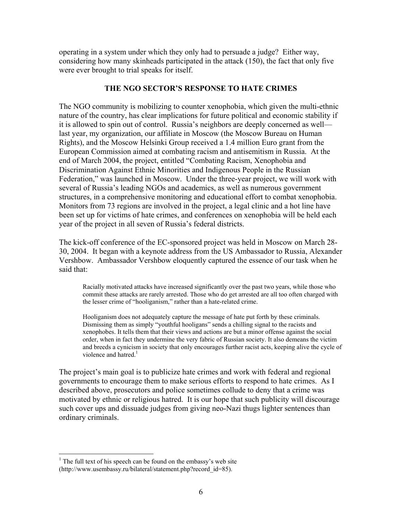operating in a system under which they only had to persuade a judge? Either way, considering how many skinheads participated in the attack (150), the fact that only five were ever brought to trial speaks for itself.

## **THE NGO SECTOR'S RESPONSE TO HATE CRIMES**

The NGO community is mobilizing to counter xenophobia, which given the multi-ethnic nature of the country, has clear implications for future political and economic stability if it is allowed to spin out of control. Russia's neighbors are deeply concerned as well last year, my organization, our affiliate in Moscow (the Moscow Bureau on Human Rights), and the Moscow Helsinki Group received a 1.4 million Euro grant from the European Commission aimed at combating racism and antisemitism in Russia. At the end of March 2004, the project, entitled "Combating Racism, Xenophobia and Discrimination Against Ethnic Minorities and Indigenous People in the Russian Federation," was launched in Moscow. Under the three-year project, we will work with several of Russia's leading NGOs and academics, as well as numerous government structures, in a comprehensive monitoring and educational effort to combat xenophobia. Monitors from 73 regions are involved in the project, a legal clinic and a hot line have been set up for victims of hate crimes, and conferences on xenophobia will be held each year of the project in all seven of Russia's federal districts.

The kick-off conference of the EC-sponsored project was held in Moscow on March 28- 30, 2004. It began with a keynote address from the US Ambassador to Russia, Alexander Vershbow. Ambassador Vershbow eloquently captured the essence of our task when he said that:

Racially motivated attacks have increased significantly over the past two years, while those who commit these attacks are rarely arrested. Those who do get arrested are all too often charged with the lesser crime of "hooliganism," rather than a hate-related crime.

Hooliganism does not adequately capture the message of hate put forth by these criminals. Dismissing them as simply "youthful hooligans" sends a chilling signal to the racists and xenophobes. It tells them that their views and actions are but a minor offense against the social order, when in fact they undermine the very fabric of Russian society. It also demeans the victim and breeds a cynicism in society that only encourages further racist acts, keeping alive the cycle of violence and hatred.<sup>[1](#page-5-0)</sup>

The project's main goal is to publicize hate crimes and work with federal and regional governments to encourage them to make serious efforts to respond to hate crimes. As I described above, prosecutors and police sometimes collude to deny that a crime was motivated by ethnic or religious hatred. It is our hope that such publicity will discourage such cover ups and dissuade judges from giving neo-Nazi thugs lighter sentences than ordinary criminals.

1

<span id="page-5-0"></span> $<sup>1</sup>$  The full text of his speech can be found on the embassy's web site</sup> (http://www.usembassy.ru/bilateral/statement.php?record\_id=85).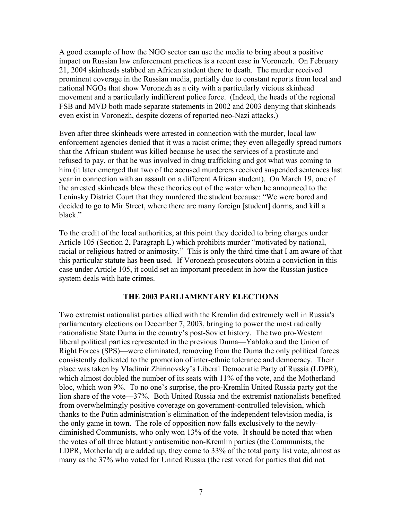A good example of how the NGO sector can use the media to bring about a positive impact on Russian law enforcement practices is a recent case in Voronezh. On February 21, 2004 skinheads stabbed an African student there to death. The murder received prominent coverage in the Russian media, partially due to constant reports from local and national NGOs that show Voronezh as a city with a particularly vicious skinhead movement and a particularly indifferent police force. (Indeed, the heads of the regional FSB and MVD both made separate statements in 2002 and 2003 denying that skinheads even exist in Voronezh, despite dozens of reported neo-Nazi attacks.)

Even after three skinheads were arrested in connection with the murder, local law enforcement agencies denied that it was a racist crime; they even allegedly spread rumors that the African student was killed because he used the services of a prostitute and refused to pay, or that he was involved in drug trafficking and got what was coming to him (it later emerged that two of the accused murderers received suspended sentences last year in connection with an assault on a different African student). On March 19, one of the arrested skinheads blew these theories out of the water when he announced to the Leninsky District Court that they murdered the student because: "We were bored and decided to go to Mir Street, where there are many foreign [student] dorms, and kill a black."

To the credit of the local authorities, at this point they decided to bring charges under Article 105 (Section 2, Paragraph L) which prohibits murder "motivated by national, racial or religious hatred or animosity." This is only the third time that I am aware of that this particular statute has been used. If Voronezh prosecutors obtain a conviction in this case under Article 105, it could set an important precedent in how the Russian justice system deals with hate crimes.

## **THE 2003 PARLIAMENTARY ELECTIONS**

Two extremist nationalist parties allied with the Kremlin did extremely well in Russia's parliamentary elections on December 7, 2003, bringing to power the most radically nationalistic State Duma in the country's post-Soviet history. The two pro-Western liberal political parties represented in the previous Duma—Yabloko and the Union of Right Forces (SPS)—were eliminated, removing from the Duma the only political forces consistently dedicated to the promotion of inter-ethnic tolerance and democracy. Their place was taken by Vladimir Zhirinovsky's Liberal Democratic Party of Russia (LDPR), which almost doubled the number of its seats with 11% of the vote, and the Motherland bloc, which won 9%. To no one's surprise, the pro-Kremlin United Russia party got the lion share of the vote—37%. Both United Russia and the extremist nationalists benefited from overwhelmingly positive coverage on government-controlled television, which thanks to the Putin administration's elimination of the independent television media, is the only game in town. The role of opposition now falls exclusively to the newlydiminished Communists, who only won 13% of the vote. It should be noted that when the votes of all three blatantly antisemitic non-Kremlin parties (the Communists, the LDPR, Motherland) are added up, they come to 33% of the total party list vote, almost as many as the 37% who voted for United Russia (the rest voted for parties that did not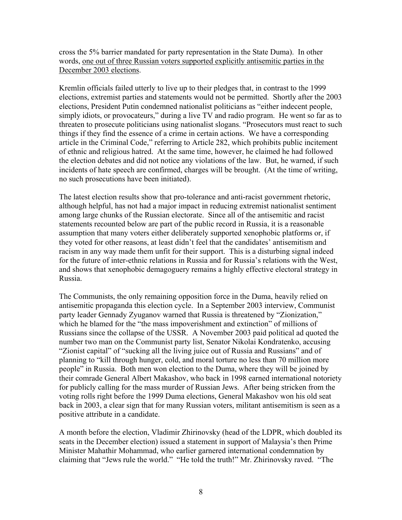cross the 5% barrier mandated for party representation in the State Duma). In other words, one out of three Russian voters supported explicitly antisemitic parties in the December 2003 elections.

Kremlin officials failed utterly to live up to their pledges that, in contrast to the 1999 elections, extremist parties and statements would not be permitted. Shortly after the 2003 elections, President Putin condemned nationalist politicians as "either indecent people, simply idiots, or provocateurs," during a live TV and radio program. He went so far as to threaten to prosecute politicians using nationalist slogans. "Prosecutors must react to such things if they find the essence of a crime in certain actions. We have a corresponding article in the Criminal Code," referring to Article 282, which prohibits public incitement of ethnic and religious hatred. At the same time, however, he claimed he had followed the election debates and did not notice any violations of the law. But, he warned, if such incidents of hate speech are confirmed, charges will be brought. (At the time of writing, no such prosecutions have been initiated).

The latest election results show that pro-tolerance and anti-racist government rhetoric, although helpful, has not had a major impact in reducing extremist nationalist sentiment among large chunks of the Russian electorate. Since all of the antisemitic and racist statements recounted below are part of the public record in Russia, it is a reasonable assumption that many voters either deliberately supported xenophobic platforms or, if they voted for other reasons, at least didn't feel that the candidates' antisemitism and racism in any way made them unfit for their support. This is a disturbing signal indeed for the future of inter-ethnic relations in Russia and for Russia's relations with the West, and shows that xenophobic demagoguery remains a highly effective electoral strategy in Russia.

The Communists, the only remaining opposition force in the Duma, heavily relied on antisemitic propaganda this election cycle. In a September 2003 interview, Communist party leader Gennady Zyuganov warned that Russia is threatened by "Zionization," which he blamed for the "the mass impoverishment and extinction" of millions of Russians since the collapse of the USSR. A November 2003 paid political ad quoted the number two man on the Communist party list, Senator Nikolai Kondratenko, accusing "Zionist capital" of "sucking all the living juice out of Russia and Russians" and of planning to "kill through hunger, cold, and moral torture no less than 70 million more people" in Russia. Both men won election to the Duma, where they will be joined by their comrade General Albert Makashov, who back in 1998 earned international notoriety for publicly calling for the mass murder of Russian Jews. After being stricken from the voting rolls right before the 1999 Duma elections, General Makashov won his old seat back in 2003, a clear sign that for many Russian voters, militant antisemitism is seen as a positive attribute in a candidate.

A month before the election, Vladimir Zhirinovsky (head of the LDPR, which doubled its seats in the December election) issued a statement in support of Malaysia's then Prime Minister Mahathir Mohammad, who earlier garnered international condemnation by claiming that "Jews rule the world." "He told the truth!" Mr. Zhirinovsky raved. "The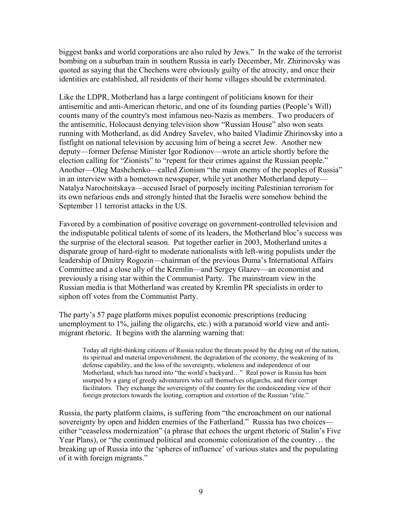biggest banks and world corporations are also ruled by Jews." In the wake of the terrorist bombing on a suburban train in southern Russia in early December, Mr. Zhirinovsky was quoted as saying that the Chechens were obviously guilty of the atrocity, and once their identities are established, all residents of their home villages should be exterminated.

Like the LDPR, Motherland has a large contingent of politicians known for their antisemitic and anti-American rhetoric, and one of its founding parties (People's Will) counts many of the country's most infamous neo-Nazis as members. Two producers of the antisemitic, Holocaust denying television show "Russian House" also won seats running with Motherland, as did Andrey Savelev, who baited Vladimir Zhirinovsky into a fistfight on national television by accusing him of being a secret Jew. Another new deputy—former Defense Minister Igor Rodionov—wrote an article shortly before the election calling for "Zionists" to "repent for their crimes against the Russian people." Another—Oleg Mashchenko—called Zionism "the main enemy of the peoples of Russia" in an interview with a hometown newspaper, while yet another Motherland deputy— Natalya Narochnitskaya—accused Israel of purposely inciting Palestinian terrorism for its own nefarious ends and strongly hinted that the Israelis were somehow behind the September 11 terrorist attacks in the US.

Favored by a combination of positive coverage on government-controlled television and the indisputable political talents of some of its leaders, the Motherland bloc's success was the surprise of the electoral season. Put together earlier in 2003, Motherland unites a disparate group of hard-right to moderate nationalists with left-wing populists under the leadership of Dmitry Rogozin—chairman of the previous Duma's International Affairs Committee and a close ally of the Kremlin—and Sergey Glazev—an economist and previously a rising star within the Communist Party. The mainstream view in the Russian media is that Motherland was created by Kremlin PR specialists in order to siphon off votes from the Communist Party.

The party's 57 page platform mixes populist economic prescriptions (reducing unemployment to 1%, jailing the oligarchs, etc.) with a paranoid world view and antimigrant rhetoric. It begins with the alarming warning that:

Today all right-thinking citizens of Russia realize the threats posed by the dying out of the nation, its spiritual and material impoverishment, the degradation of the economy, the weakening of its defense capability, and the loss of the sovereignty, wholeness and independence of our Motherland, which has turned into "the world's backyard…" Real power in Russia has been usurped by a gang of greedy adventurers who call themselves oligarchs, and their corrupt facilitators. They exchange the sovereignty of the country for the condescending view of their foreign protectors towards the looting, corruption and extortion of the Russian "elite."

Russia, the party platform claims, is suffering from "the encroachment on our national sovereignty by open and hidden enemies of the Fatherland." Russia has two choices either "ceaseless modernization" (a phrase that echoes the urgent rhetoric of Stalin's Five Year Plans), or "the continued political and economic colonization of the country… the breaking up of Russia into the 'spheres of influence' of various states and the populating of it with foreign migrants."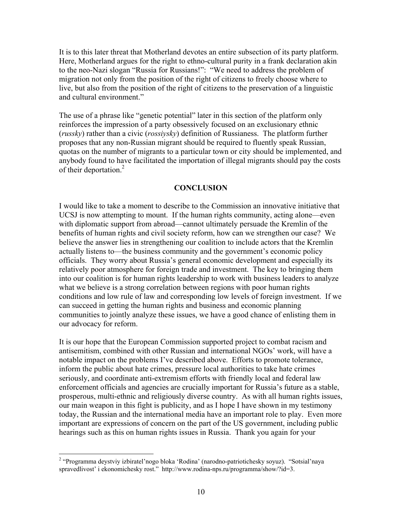It is to this later threat that Motherland devotes an entire subsection of its party platform. Here, Motherland argues for the right to ethno-cultural purity in a frank declaration akin to the neo-Nazi slogan "Russia for Russians!": "We need to address the problem of migration not only from the position of the right of citizens to freely choose where to live, but also from the position of the right of citizens to the preservation of a linguistic and cultural environment."

The use of a phrase like "genetic potential" later in this section of the platform only reinforces the impression of a party obsessively focused on an exclusionary ethnic (*russky*) rather than a civic (*rossiysky*) definition of Russianess. The platform further proposes that any non-Russian migrant should be required to fluently speak Russian, quotas on the number of migrants to a particular town or city should be implemented, and anybody found to have facilitated the importation of illegal migrants should pay the costs of their deportation.<sup>[2](#page-9-0)</sup>

#### **CONCLUSION**

I would like to take a moment to describe to the Commission an innovative initiative that UCSJ is now attempting to mount. If the human rights community, acting alone—even with diplomatic support from abroad—cannot ultimately persuade the Kremlin of the benefits of human rights and civil society reform, how can we strengthen our case? We believe the answer lies in strengthening our coalition to include actors that the Kremlin actually listens to—the business community and the government's economic policy officials. They worry about Russia's general economic development and especially its relatively poor atmosphere for foreign trade and investment. The key to bringing them into our coalition is for human rights leadership to work with business leaders to analyze what we believe is a strong correlation between regions with poor human rights conditions and low rule of law and corresponding low levels of foreign investment. If we can succeed in getting the human rights and business and economic planning communities to jointly analyze these issues, we have a good chance of enlisting them in our advocacy for reform.

It is our hope that the European Commission supported project to combat racism and antisemitism, combined with other Russian and international NGOs' work, will have a notable impact on the problems I've described above. Efforts to promote tolerance, inform the public about hate crimes, pressure local authorities to take hate crimes seriously, and coordinate anti-extremism efforts with friendly local and federal law enforcement officials and agencies are crucially important for Russia's future as a stable, prosperous, multi-ethnic and religiously diverse country. As with all human rights issues, our main weapon in this fight is publicity, and as I hope I have shown in my testimony today, the Russian and the international media have an important role to play. Even more important are expressions of concern on the part of the US government, including public hearings such as this on human rights issues in Russia. Thank you again for your

<span id="page-9-0"></span> 2 "Programma deystviy izbiratel'nogo bloka 'Rodina' (narodno-patriotichesky soyuz). "Sotsial'naya spravedlivost' i ekonomichesky rost." http://www.rodina-nps.ru/programma/show/?id=3.